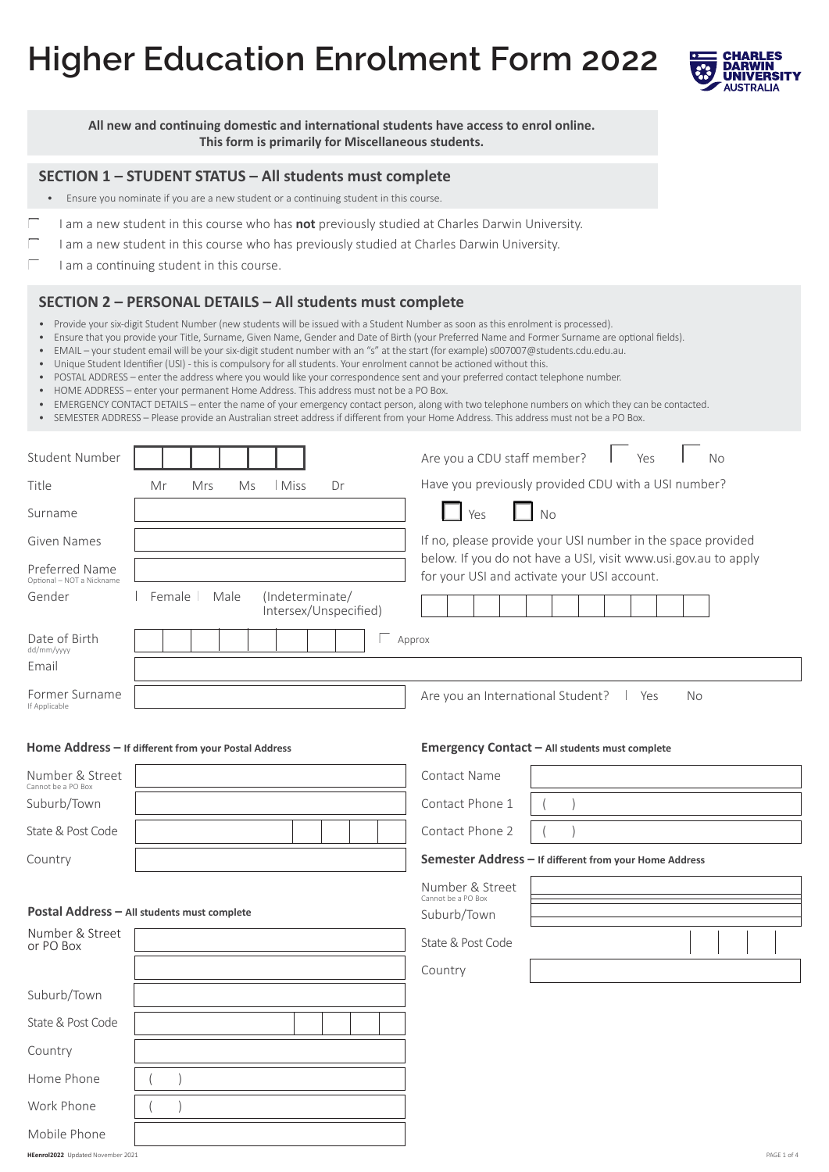# **Higher Education Enrolment Form 2022**



**All new and continuing domestic and international students have access to enrol online. This form is primarily for Miscellaneous students.**

#### **SECTION 1 – STUDENT STATUS – All students must complete**

- Ensure you nominate if you are a new student or a continuing student in this course.
- I am a new student in this course who has **not** previously studied at Charles Darwin University.
	- I am a new student in this course who has previously studied at Charles Darwin University.
	- I am a continuing student in this course.

#### **SECTION 2 – PERSONAL DETAILS – All students must complete**

- Provide your six-digit Student Number (new students will be issued with a Student Number as soon as this enrolment is processed).
- • Ensure that you provide your Title, Surname, Given Name, Gender and Date of Birth (your Preferred Name and Former Surname are optional fields).
- • EMAIL your student email will be your six-digit student number with an "s" at the start (for example) s007007@students.cdu.edu.au.
- • Unique Student Identifier (USI) this is compulsory for all students. Your enrolment cannot be actioned without this.
- • POSTAL ADDRESS enter the address where you would like your correspondence sent and your preferred contact telephone number.
- HOME ADDRESS enter your permanent Home Address. This address must not be a PO Box.
- • EMERGENCY CONTACT DETAILS enter the name of your emergency contact person, along with two telephone numbers on which they can be contacted.
- • SEMESTER ADDRESS Please provide an Australian street address if different from your Home Address. This address must not be a PO Box.

| <b>Student Number</b>                       |                                                            | Are you a CDU staff member?<br>Yes<br><b>No</b>                                                               |
|---------------------------------------------|------------------------------------------------------------|---------------------------------------------------------------------------------------------------------------|
| Title                                       | Mr<br>Mrs<br>Ms<br>Miss<br>Dr                              | Have you previously provided CDU with a USI number?                                                           |
| Surname                                     |                                                            | No<br>Yes                                                                                                     |
| <b>Given Names</b>                          |                                                            | If no, please provide your USI number in the space provided                                                   |
| Preferred Name<br>Optional - NOT a Nickname |                                                            | below. If you do not have a USI, visit www.usi.gov.au to apply<br>for your USI and activate your USI account. |
| Gender                                      | Female<br>Male<br>(Indeterminate/<br>intersex/Unspecified) |                                                                                                               |
| Date of Birth<br>dd/mm/yyyy                 |                                                            | Approx                                                                                                        |
| Email                                       |                                                            |                                                                                                               |
| Former Surname<br>If Applicable             |                                                            | Are you an International Student?<br><b>No</b><br>Yes                                                         |
|                                             | Home Address - If different from your Postal Address       | Emergency Contact - All students must complete                                                                |
| Number & Street<br>Cannot be a PO Box       |                                                            | <b>Contact Name</b>                                                                                           |
| Suburb/Town                                 |                                                            | Contact Phone 1                                                                                               |
| State & Post Code                           |                                                            | Contact Phone 2                                                                                               |
| Country                                     |                                                            | Semester Address - If different from your Home Address                                                        |
|                                             |                                                            | Number & Street                                                                                               |
|                                             | Postal Address - All students must complete                | Cannot be a PO Box<br>Suburb/Town                                                                             |
| Number & Street<br>or PO Box                |                                                            | State & Post Code                                                                                             |
|                                             |                                                            | Country                                                                                                       |
| Suburb/Town                                 |                                                            |                                                                                                               |
| State & Post Code                           |                                                            |                                                                                                               |
| Country                                     |                                                            |                                                                                                               |
| Home Phone                                  |                                                            |                                                                                                               |
| Work Phone                                  |                                                            |                                                                                                               |

Mobile Phone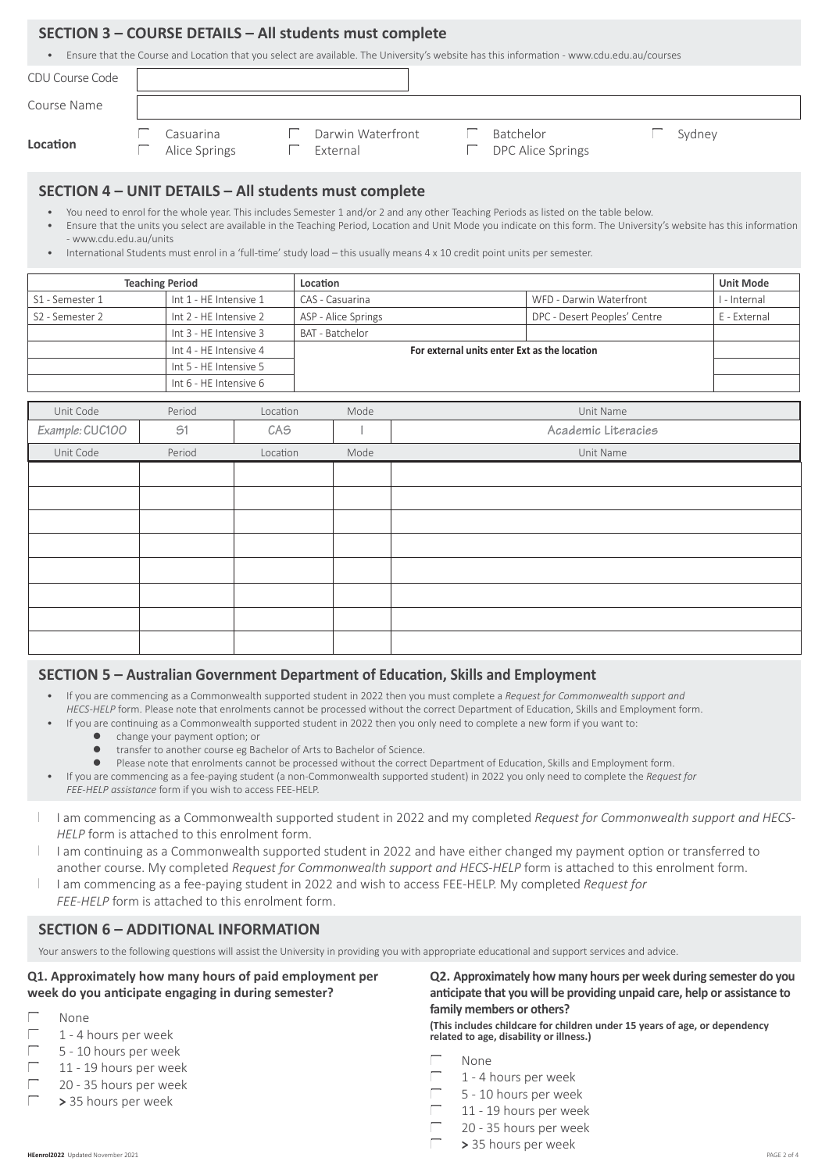#### **SECTION 3 – COURSE DETAILS – All students must complete**

Ensure that the Course and Location that you select are available. The University's website has this information - www.cdu.edu.au/courses

| CDU Course Code |                            |                               |                                |        |  |
|-----------------|----------------------------|-------------------------------|--------------------------------|--------|--|
| Course Name     |                            |                               |                                |        |  |
| Location        | Casuarina<br>Alice Springs | Darwin Waterfront<br>External | Batchelor<br>DPC Alice Springs | Sydney |  |
|                 |                            |                               |                                |        |  |

### **SECTION 4 – UNIT DETAILS – All students must complete**

- You need to enrol for the whole year. This includes Semester 1 and/or 2 and any other Teaching Periods as listed on the table below.
- Ensure that the units you select are available in the Teaching Period, Location and Unit Mode you indicate on this form. The University's website has this information - www.cdu.edu.au/units
- International Students must enrol in a 'full-time' study load this usually means 4 x 10 credit point units per semester.

| <b>Teaching Period</b>      |                        | Location                                     |                              | <b>Unit Mode</b> |
|-----------------------------|------------------------|----------------------------------------------|------------------------------|------------------|
| S1 - Semester 1             | Int 1 - HE Intensive 1 | CAS - Casuarina                              | WFD - Darwin Waterfront      | I - Internal     |
| S <sub>2</sub> - Semester 2 | Int 2 - HE Intensive 2 | ASP - Alice Springs                          | DPC - Desert Peoples' Centre | E - External     |
|                             | Int 3 - HE Intensive 3 | <b>BAT - Batchelor</b>                       |                              |                  |
|                             | Int 4 - HE Intensive 4 | For external units enter Ext as the location |                              |                  |
|                             | Int 5 - HE Intensive 5 |                                              |                              |                  |
|                             | Int 6 - HE Intensive 6 |                                              |                              |                  |

| Unit Code       | Period | Location | Mode | Unit Name           |
|-----------------|--------|----------|------|---------------------|
| Example: CUC100 | 51     | CAS      |      | Academic Literacies |
| Unit Code       | Period | Location | Mode | Unit Name           |
|                 |        |          |      |                     |
|                 |        |          |      |                     |
|                 |        |          |      |                     |
|                 |        |          |      |                     |
|                 |        |          |      |                     |
|                 |        |          |      |                     |
|                 |        |          |      |                     |
|                 |        |          |      |                     |

#### **SECTION 5 – Australian Government Department of Education, Skills and Employment**

- If you are commencing as a Commonwealth supported student in 2022 then you must complete a *Request for Commonwealth support and HECS-HELP* form. Please note that enrolments cannot be processed without the correct Department of Education, Skills and Employment form.
	- If you are continuing as a Commonwealth supported student in 2022 then you only need to complete a new form if you want to:
		- **•** change your payment option; or
		- $\bullet$  transfer to another course eg Bachelor of Arts to Bachelor of Science.
		- **•** Please note that enrolments cannot be processed without the correct Department of Education, Skills and Employment form.
	- If you are commencing as a fee-paying student (a non-Commonwealth supported student) in 2022 you only need to complete the *Request for FEE-HELP assistance* form if you wish to access FEE-HELP.
- I am commencing as a Commonwealth supported student in 2022 and my completed *Request for Commonwealth support and HECS-HELP* form is attached to this enrolment form.
- I am continuing as a Commonwealth supported student in 2022 and have either changed my payment option or transferred to another course. My completed *Request for Commonwealth support and HECS-HELP* form is attached to this enrolment form.
- I am commencing as a fee-paying student in 2022 and wish to access FEE-HELP. My completed *Request for FEE-HELP* form is attached to this enrolment form.

# **SECTION 6 – ADDITIONAL INFORMATION**

Your answers to the following questions will assist the University in providing you with appropriate educational and support services and advice.

**Q1. Approximately how many hours of paid employment per week do you anticipate engaging in during semester?**

- None
- 1 4 hours per week
- 5 10 hours per week
- 11 19 hours per week
- 20 35 hours per week
- **>** 35 hours per week

**Q2. Approximately how many hours per week during semester do you anticipate that you will be providing unpaid care, help or assistance to family members or others?**

**(This includes childcare for children under 15 years of age, or dependency related to age, disability or illness.)**

- None
- 1 4 hours per week
- 5 10 hours per week
- 11 19 hours per week
- 20 35 hours per week
- **>** 35 hours per week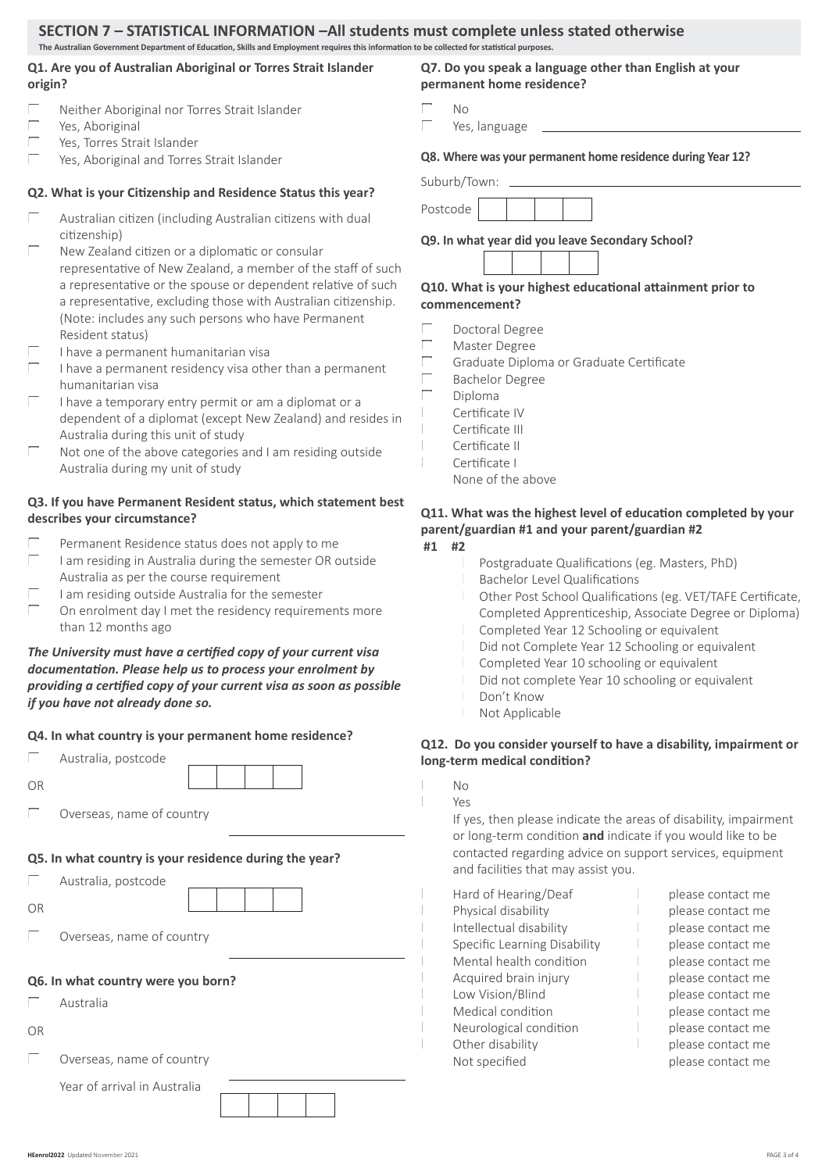#### **SECTION 7 – STATISTICAL INFORMATION –All students must complete unless stated otherwise The Australian Government Department of Education, Skills and Employment requires this information to be collected for statistical purposes.**

#### **Q1. Are you of Australian Aboriginal or Torres Strait Islander origin?**

- Neither Aboriginal nor Torres Strait Islander
- Yes, Aboriginal
- Yes, Torres Strait Islander
- Yes, Aboriginal and Torres Strait Islander

#### **Q2. What is your Citizenship and Residence Status this year?**

- Australian citizen (including Australian citizens with dual citizenship)
- New Zealand citizen or a diplomatic or consular representative of New Zealand, a member of the staff of such a representative or the spouse or dependent relative of such a representative, excluding those with Australian citizenship. (Note: includes any such persons who have Permanent Resident status)
- I have a permanent humanitarian visa
- I have a permanent residency visa other than a permanent humanitarian visa
- I have a temporary entry permit or am a diplomat or a dependent of a diplomat (except New Zealand) and resides in Australia during this unit of study
- Not one of the above categories and I am residing outside Australia during my unit of study

#### **Q3. If you have Permanent Resident status, which statement best describes your circumstance?**

- Permanent Residence status does not apply to me I am residing in Australia during the semester OR outside
- Australia as per the course requirement I am residing outside Australia for the semester
- On enrolment day I met the residency requirements more than 12 months ago

#### *The University must have a certified copy of your current visa documentation. Please help us to process your enrolment by providing a certified copy of your current visa as soon as possible if you have not already done so.*

#### **Q4. In what country is your permanent home residence?**

| Australia, postcode |  |
|---------------------|--|
|                     |  |

| . .<br>٦<br>I<br>× | ۰ |
|--------------------|---|
|--------------------|---|

 Overseas, name of country

#### **Q5. In what country is your residence during the year?**

|    | Australia, postcode |  |
|----|---------------------|--|
| OR |                     |  |

 Overseas, name of country

#### **Q6. In what country were you born?**

- Australia
- OR
- $\Box$  Overseas, name of country

Year of arrival in Australia



**Q7. Do you speak a language other than English at your permanent home residence?**

- No
	- Yes, language

**Q8. Where was your permanent home residence during Year 12?**

Suburb/Town:



**Q9. In what year did you leave Secondary School?**

#### **Q10. What is your highest educational attainment prior to commencement?**

- Doctoral Degree
- Master Degree
- Graduate Diploma or Graduate Certificate
- Bachelor Degree
- Diploma
	- Certificate IV
- Certificate III
- Certificate II Certificate I
- None of the above

#### **Q11. What was the highest level of education completed by your parent/guardian #1 and your parent/guardian #2**

- **#1 #2**
- Postgraduate Qualifications (eg. Masters, PhD) Bachelor Level Qualifications Other Post School Qualifications (eg. VET/TAFE Certificate, Completed Apprenticeship, Associate Degree or Diploma) Completed Year 12 Schooling or equivalent Did not Complete Year 12 Schooling or equivalent Completed Year 10 schooling or equivalent Did not complete Year 10 schooling or equivalent Don't Know
	- Not Applicable

#### **Q12. Do you consider yourself to have a disability, impairment or long-term medical condition?**

 $N<sub>0</sub>$ 

#### Yes

 If yes, then please indicate the areas of disability, impairment or long-term condition **and** indicate if you would like to be contacted regarding advice on support services, equipment and facilities that may assist you.

| Hard of Hearing/Deaf         | please contact me |
|------------------------------|-------------------|
| Physical disability          | please contact me |
| Intellectual disability      | please contact me |
| Specific Learning Disability | please contact me |
| Mental health condition      | please contact me |
| Acquired brain injury        | please contact me |
| Low Vision/Blind             | please contact me |
| Medical condition            | please contact me |
| Neurological condition       | please contact me |
| Other disability             | please contact me |
| Not specified                | please contact me |